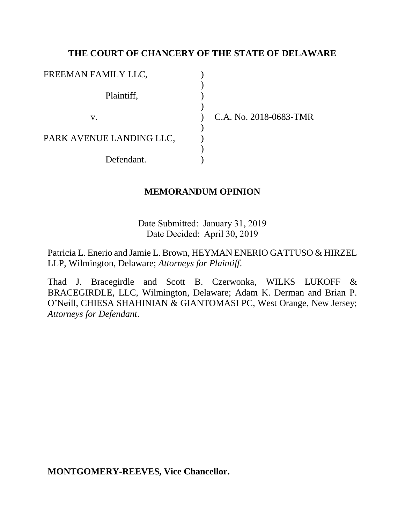## **THE COURT OF CHANCERY OF THE STATE OF DELAWARE**

| FREEMAN FAMILY LLC,      |  |
|--------------------------|--|
| Plaintiff,               |  |
| V.                       |  |
| PARK AVENUE LANDING LLC, |  |
| Defendant.               |  |

C.A. No. 2018-0683-TMR

### **MEMORANDUM OPINION**

Date Submitted: January 31, 2019 Date Decided: April 30, 2019

Patricia L. Enerio and Jamie L. Brown, HEYMAN ENERIO GATTUSO & HIRZEL LLP, Wilmington, Delaware; *Attorneys for Plaintiff*.

Thad J. Bracegirdle and Scott B. Czerwonka, WILKS LUKOFF & BRACEGIRDLE, LLC, Wilmington, Delaware; Adam K. Derman and Brian P. O'Neill, CHIESA SHAHINIAN & GIANTOMASI PC, West Orange, New Jersey; *Attorneys for Defendant*.

**MONTGOMERY-REEVES, Vice Chancellor.**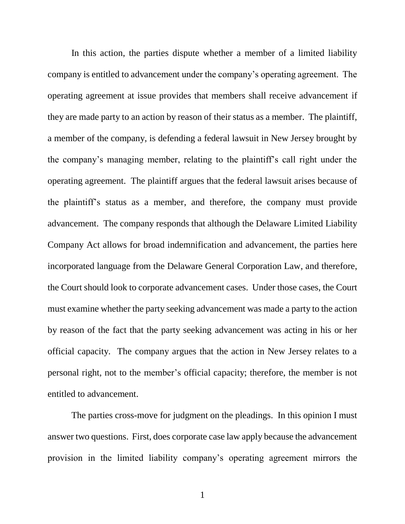In this action, the parties dispute whether a member of a limited liability company is entitled to advancement under the company's operating agreement. The operating agreement at issue provides that members shall receive advancement if they are made party to an action by reason of their status as a member. The plaintiff, a member of the company, is defending a federal lawsuit in New Jersey brought by the company's managing member, relating to the plaintiff's call right under the operating agreement. The plaintiff argues that the federal lawsuit arises because of the plaintiff's status as a member, and therefore, the company must provide advancement. The company responds that although the Delaware Limited Liability Company Act allows for broad indemnification and advancement, the parties here incorporated language from the Delaware General Corporation Law, and therefore, the Court should look to corporate advancement cases. Under those cases, the Court must examine whether the party seeking advancement was made a party to the action by reason of the fact that the party seeking advancement was acting in his or her official capacity. The company argues that the action in New Jersey relates to a personal right, not to the member's official capacity; therefore, the member is not entitled to advancement.

The parties cross-move for judgment on the pleadings. In this opinion I must answer two questions. First, does corporate case law apply because the advancement provision in the limited liability company's operating agreement mirrors the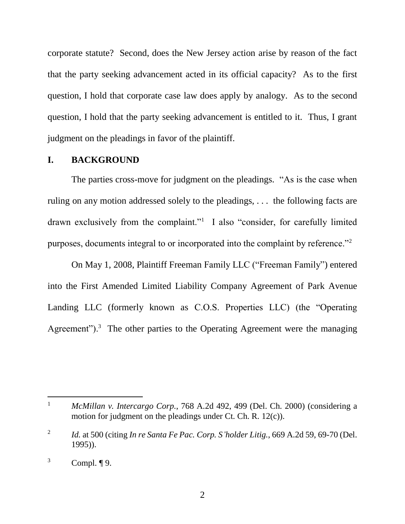corporate statute? Second, does the New Jersey action arise by reason of the fact that the party seeking advancement acted in its official capacity? As to the first question, I hold that corporate case law does apply by analogy. As to the second question, I hold that the party seeking advancement is entitled to it. Thus, I grant judgment on the pleadings in favor of the plaintiff.

#### **I. BACKGROUND**

The parties cross-move for judgment on the pleadings. "As is the case when ruling on any motion addressed solely to the pleadings, . . . the following facts are drawn exclusively from the complaint."<sup>1</sup> I also "consider, for carefully limited purposes, documents integral to or incorporated into the complaint by reference."<sup>2</sup>

On May 1, 2008, Plaintiff Freeman Family LLC ("Freeman Family") entered into the First Amended Limited Liability Company Agreement of Park Avenue Landing LLC (formerly known as C.O.S. Properties LLC) (the "Operating Agreement").<sup>3</sup> The other parties to the Operating Agreement were the managing

<sup>1</sup> *McMillan v. Intercargo Corp.*, 768 A.2d 492, 499 (Del. Ch. 2000) (considering a motion for judgment on the pleadings under Ct. Ch. R. 12(c)).

<sup>2</sup> *Id.* at 500 (citing *In re Santa Fe Pac. Corp. S'holder Litig.*, 669 A.2d 59, 69-70 (Del. 1995)).

 $3$  Compl.  $\P$ 9.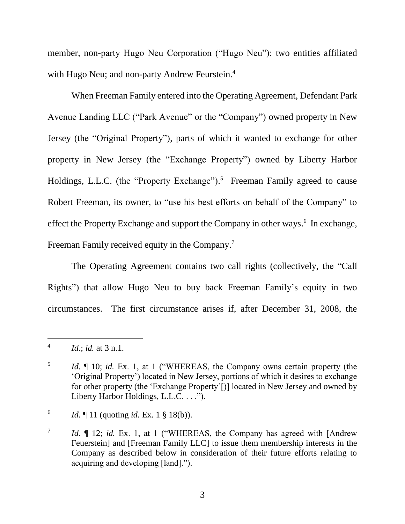member, non-party Hugo Neu Corporation ("Hugo Neu"); two entities affiliated with Hugo Neu; and non-party Andrew Feurstein.<sup>4</sup>

When Freeman Family entered into the Operating Agreement, Defendant Park Avenue Landing LLC ("Park Avenue" or the "Company") owned property in New Jersey (the "Original Property"), parts of which it wanted to exchange for other property in New Jersey (the "Exchange Property") owned by Liberty Harbor Holdings, L.L.C. (the "Property Exchange").<sup>5</sup> Freeman Family agreed to cause Robert Freeman, its owner, to "use his best efforts on behalf of the Company" to effect the Property Exchange and support the Company in other ways.<sup>6</sup> In exchange, Freeman Family received equity in the Company.<sup>7</sup>

The Operating Agreement contains two call rights (collectively, the "Call Rights") that allow Hugo Neu to buy back Freeman Family's equity in two circumstances. The first circumstance arises if, after December 31, 2008, the

<sup>4</sup> *Id.*; *id.* at 3 n.1.

<sup>5</sup> *Id.*  $\parallel$  10; *id.* Ex. 1, at 1 ("WHEREAS, the Company owns certain property (the 'Original Property') located in New Jersey, portions of which it desires to exchange for other property (the 'Exchange Property'[)] located in New Jersey and owned by Liberty Harbor Holdings, L.L.C. . . .").

<sup>6</sup> *Id.*  $\llbracket$  11 (quoting *id.* Ex. 1 § 18(b)).

<sup>7</sup> *Id.* ¶ 12; *id.* Ex. 1, at 1 ("WHEREAS, the Company has agreed with [Andrew Feuerstein] and [Freeman Family LLC] to issue them membership interests in the Company as described below in consideration of their future efforts relating to acquiring and developing [land].").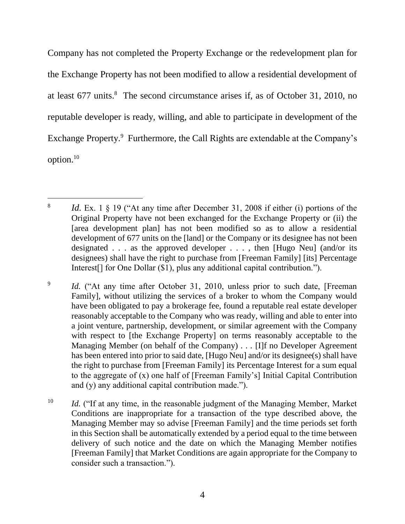Company has not completed the Property Exchange or the redevelopment plan for the Exchange Property has not been modified to allow a residential development of at least 677 units. 8 The second circumstance arises if, as of October 31, 2010, no reputable developer is ready, willing, and able to participate in development of the Exchange Property.<sup>9</sup> Furthermore, the Call Rights are extendable at the Company's option.<sup>10</sup>

 $\overline{a}$ 8 *Id.* Ex. 1  $\&$  19 ("At any time after December 31, 2008 if either (i) portions of the Original Property have not been exchanged for the Exchange Property or (ii) the [area development plan] has not been modified so as to allow a residential development of 677 units on the [land] or the Company or its designee has not been designated  $\ldots$  as the approved developer  $\ldots$ , then [Hugo Neu] (and/or its designees) shall have the right to purchase from [Freeman Family] [its] Percentage Interest[] for One Dollar (\$1), plus any additional capital contribution.").

<sup>9</sup> *Id.* ("At any time after October 31, 2010, unless prior to such date, [Freeman] Family], without utilizing the services of a broker to whom the Company would have been obligated to pay a brokerage fee, found a reputable real estate developer reasonably acceptable to the Company who was ready, willing and able to enter into a joint venture, partnership, development, or similar agreement with the Company with respect to [the Exchange Property] on terms reasonably acceptable to the Managing Member (on behalf of the Company) . . . [I]f no Developer Agreement has been entered into prior to said date, [Hugo Neu] and/or its designee(s) shall have the right to purchase from [Freeman Family] its Percentage Interest for a sum equal to the aggregate of (x) one half of [Freeman Family's] Initial Capital Contribution and (y) any additional capital contribution made.").

<sup>&</sup>lt;sup>10</sup> *Id.* ("If at any time, in the reasonable judgment of the Managing Member, Market Conditions are inappropriate for a transaction of the type described above, the Managing Member may so advise [Freeman Family] and the time periods set forth in this Section shall be automatically extended by a period equal to the time between delivery of such notice and the date on which the Managing Member notifies [Freeman Family] that Market Conditions are again appropriate for the Company to consider such a transaction.").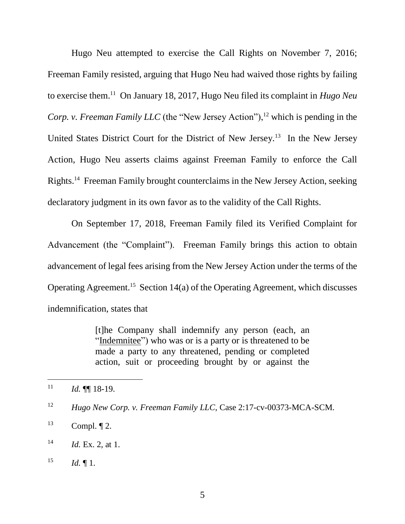Hugo Neu attempted to exercise the Call Rights on November 7, 2016; Freeman Family resisted, arguing that Hugo Neu had waived those rights by failing to exercise them.<sup>11</sup> On January 18, 2017, Hugo Neu filed its complaint in *Hugo Neu Corp. v. Freeman Family LLC* (the "New Jersey Action"),<sup>12</sup> which is pending in the United States District Court for the District of New Jersey.<sup>13</sup> In the New Jersey Action, Hugo Neu asserts claims against Freeman Family to enforce the Call Rights. 14 Freeman Family brought counterclaims in the New Jersey Action, seeking declaratory judgment in its own favor as to the validity of the Call Rights.

On September 17, 2018, Freeman Family filed its Verified Complaint for Advancement (the "Complaint"). Freeman Family brings this action to obtain advancement of legal fees arising from the New Jersey Action under the terms of the Operating Agreement. 15 Section 14(a) of the Operating Agreement, which discusses indemnification, states that

> [t]he Company shall indemnify any person (each, an "Indemnitee") who was or is a party or is threatened to be made a party to any threatened, pending or completed action, suit or proceeding brought by or against the

 $11$  *Id.*  $\P\P$  18-19.

<sup>12</sup> *Hugo New Corp. v. Freeman Family LLC*, Case 2:17-cv-00373-MCA-SCM.

 $^{13}$  Compl.  $\P$  2.

<sup>14</sup> *Id.* Ex. 2, at 1.

 $15$  *Id.* 1.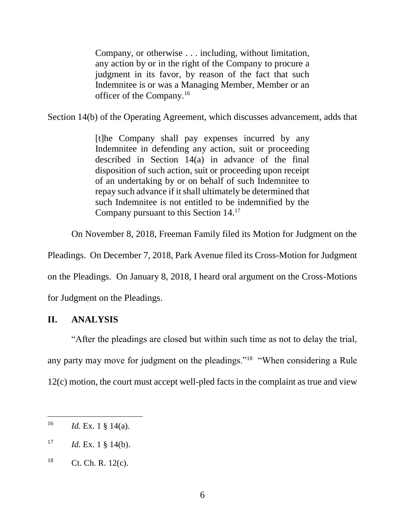Company, or otherwise . . . including, without limitation, any action by or in the right of the Company to procure a judgment in its favor, by reason of the fact that such Indemnitee is or was a Managing Member, Member or an officer of the Company.<sup>16</sup>

Section 14(b) of the Operating Agreement, which discusses advancement, adds that

[t]he Company shall pay expenses incurred by any Indemnitee in defending any action, suit or proceeding described in Section 14(a) in advance of the final disposition of such action, suit or proceeding upon receipt of an undertaking by or on behalf of such Indemnitee to repay such advance if it shall ultimately be determined that such Indemnitee is not entitled to be indemnified by the Company pursuant to this Section 14.<sup>17</sup>

On November 8, 2018, Freeman Family filed its Motion for Judgment on the

Pleadings. On December 7, 2018, Park Avenue filed its Cross-Motion for Judgment

on the Pleadings. On January 8, 2018, I heard oral argument on the Cross-Motions

for Judgment on the Pleadings.

## **II. ANALYSIS**

"After the pleadings are closed but within such time as not to delay the trial, any party may move for judgment on the pleadings."<sup>18</sup> "When considering a Rule 12(c) motion, the court must accept well-pled facts in the complaint as true and view

<sup>&</sup>lt;sup>16</sup> *Id.* Ex. 1 § 14(a).

 $17$  *Id.* Ex. 1 § 14(b).

 $18$  Ct. Ch. R. 12(c).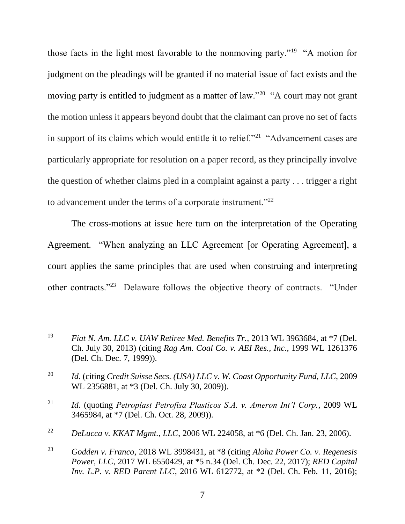those facts in the light most favorable to the nonmoving party."<sup>19</sup> "A motion for judgment on the pleadings will be granted if no material issue of fact exists and the moving party is entitled to judgment as a matter of law."<sup>20</sup> "A court may not grant the motion unless it appears beyond doubt that the claimant can prove no set of facts in support of its claims which would entitle it to relief."<sup>21</sup> "Advancement cases are particularly appropriate for resolution on a paper record, as they principally involve the question of whether claims pled in a complaint against a party . . . trigger a right to advancement under the terms of a corporate instrument."<sup>22</sup>

The cross-motions at issue here turn on the interpretation of the Operating Agreement. "When analyzing an LLC Agreement [or Operating Agreement], a court applies the same principles that are used when construing and interpreting other contracts."<sup>23</sup> Delaware follows the objective theory of contracts. "Under

<sup>19</sup> *Fiat N. Am. LLC v. UAW Retiree Med. Benefits Tr.*, 2013 WL 3963684, at \*7 (Del. Ch. July 30, 2013) (citing *Rag Am. Coal Co. v. AEI Res., Inc.*, 1999 WL 1261376 (Del. Ch. Dec. 7, 1999)).

<sup>20</sup> *Id.* (citing *Credit Suisse Secs. (USA) LLC v. W. Coast Opportunity Fund, LLC*, 2009 WL 2356881, at \*3 (Del. Ch. July 30, 2009)).

<sup>21</sup> *Id.* (quoting *Petroplast Petrofisa Plasticos S.A. v. Ameron Int'l Corp.*, 2009 WL 3465984, at \*7 (Del. Ch. Oct. 28, 2009)).

<sup>22</sup> *DeLucca v. KKAT Mgmt., LLC*, 2006 WL 224058, at \*6 (Del. Ch. Jan. 23, 2006).

<sup>23</sup> *Godden v. Franco*, 2018 WL 3998431, at \*8 (citing *Aloha Power Co. v. Regenesis Power, LLC*, 2017 WL 6550429, at \*5 n.34 (Del. Ch. Dec. 22, 2017); *RED Capital Inv. L.P. v. RED Parent LLC*, 2016 WL 612772, at \*2 (Del. Ch. Feb. 11, 2016);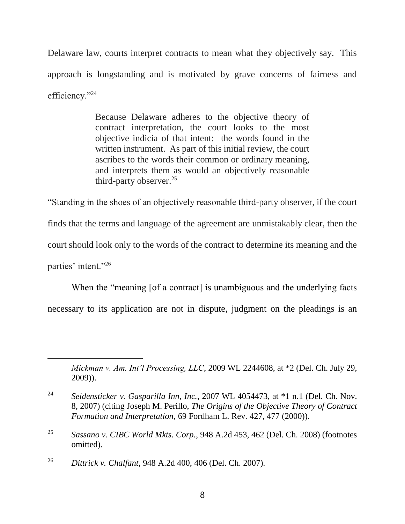Delaware law, courts interpret contracts to mean what they objectively say. This approach is longstanding and is motivated by grave concerns of fairness and efficiency."24

> Because Delaware adheres to the objective theory of contract interpretation, the court looks to the most objective indicia of that intent: the words found in the written instrument. As part of this initial review, the court ascribes to the words their common or ordinary meaning, and interprets them as would an objectively reasonable third-party observer.<sup>25</sup>

"Standing in the shoes of an objectively reasonable third-party observer, if the court finds that the terms and language of the agreement are unmistakably clear, then the court should look only to the words of the contract to determine its meaning and the parties' intent."26

When the "meaning [of a contract] is unambiguous and the underlying facts necessary to its application are not in dispute, judgment on the pleadings is an

*Mickman v. Am. Int'l Processing, LLC*, 2009 WL 2244608, at \*2 (Del. Ch. July 29, 2009)).

<sup>26</sup> *Dittrick v. Chalfant*, 948 A.2d 400, 406 (Del. Ch. 2007).

<sup>24</sup> *Seidensticker v. Gasparilla Inn, Inc.*, 2007 WL 4054473, at \*1 n.1 (Del. Ch. Nov. 8, 2007) (citing Joseph M. Perillo, *The Origins of the Objective Theory of Contract Formation and Interpretation,* 69 Fordham L. Rev. 427, 477 (2000)).

<sup>25</sup> *Sassano v. CIBC World Mkts. Corp.*, 948 A.2d 453, 462 (Del. Ch. 2008) (footnotes omitted).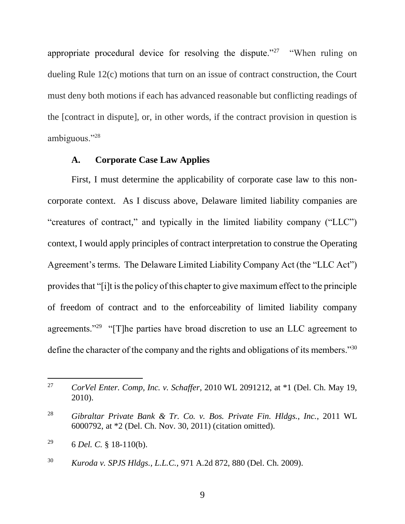appropriate procedural device for resolving the dispute."<sup>27</sup> "When ruling on dueling Rule 12(c) motions that turn on an issue of contract construction, the Court must deny both motions if each has advanced reasonable but conflicting readings of the [contract in dispute], or, in other words, if the contract provision in question is ambiguous."<sup>28</sup>

## **A. Corporate Case Law Applies**

First, I must determine the applicability of corporate case law to this noncorporate context. As I discuss above, Delaware limited liability companies are "creatures of contract," and typically in the limited liability company ("LLC") context, I would apply principles of contract interpretation to construe the Operating Agreement's terms. The Delaware Limited Liability Company Act (the "LLC Act") provides that "[i]t is the policy of this chapter to give maximum effect to the principle of freedom of contract and to the enforceability of limited liability company agreements."<sup>29</sup> "[T]he parties have broad discretion to use an LLC agreement to define the character of the company and the rights and obligations of its members."<sup>30</sup>

<sup>27</sup> *CorVel Enter. Comp, Inc. v. Schaffer*, 2010 WL 2091212, at \*1 (Del. Ch. May 19, 2010).

<sup>28</sup> *Gibraltar Private Bank & Tr. Co. v. Bos. Private Fin. Hldgs., Inc.*, 2011 WL 6000792, at \*2 (Del. Ch. Nov. 30, 2011) (citation omitted).

<sup>&</sup>lt;sup>29</sup> 6 *Del. C.* § 18-110(b).

<sup>30</sup> *Kuroda v. SPJS Hldgs., L.L.C.*, 971 A.2d 872, 880 (Del. Ch. 2009).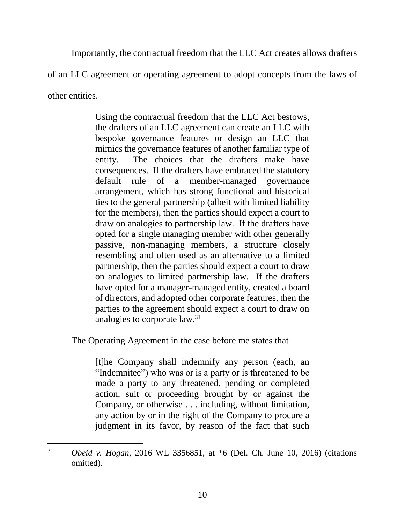Importantly, the contractual freedom that the LLC Act creates allows drafters

of an LLC agreement or operating agreement to adopt concepts from the laws of

other entities.

l

Using the contractual freedom that the LLC Act bestows, the drafters of an LLC agreement can create an LLC with bespoke governance features or design an LLC that mimics the governance features of another familiar type of entity. The choices that the drafters make have consequences. If the drafters have embraced the statutory default rule of a member-managed governance arrangement, which has strong functional and historical ties to the general partnership (albeit with limited liability for the members), then the parties should expect a court to draw on analogies to partnership law. If the drafters have opted for a single managing member with other generally passive, non-managing members, a structure closely resembling and often used as an alternative to a limited partnership, then the parties should expect a court to draw on analogies to limited partnership law. If the drafters have opted for a manager-managed entity, created a board of directors, and adopted other corporate features, then the parties to the agreement should expect a court to draw on analogies to corporate law.<sup>31</sup>

The Operating Agreement in the case before me states that

[t]he Company shall indemnify any person (each, an "Indemnitee") who was or is a party or is threatened to be made a party to any threatened, pending or completed action, suit or proceeding brought by or against the Company, or otherwise . . . including, without limitation, any action by or in the right of the Company to procure a judgment in its favor, by reason of the fact that such

<sup>31</sup> *Obeid v. Hogan*, 2016 WL 3356851, at \*6 (Del. Ch. June 10, 2016) (citations omitted).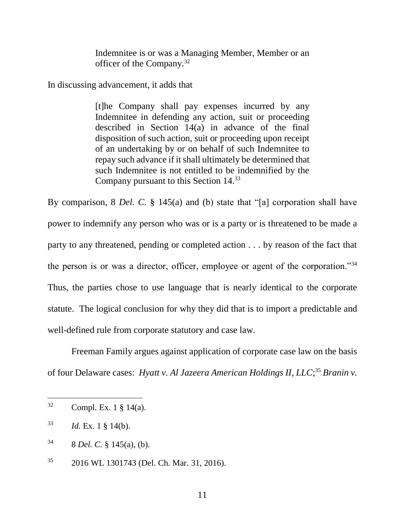Indemnitee is or was a Managing Member, Member or an officer of the Company.<sup>32</sup>

In discussing advancement, it adds that

[t]he Company shall pay expenses incurred by any Indemnitee in defending any action, suit or proceeding described in Section 14(a) in advance of the final disposition of such action, suit or proceeding upon receipt of an undertaking by or on behalf of such Indemnitee to repay such advance if it shall ultimately be determined that such Indemnitee is not entitled to be indemnified by the Company pursuant to this Section 14.<sup>33</sup>

By comparison, 8 *Del. C.* § 145(a) and (b) state that "[a] corporation shall have power to indemnify any person who was or is a party or is threatened to be made a party to any threatened, pending or completed action . . . by reason of the fact that the person is or was a director, officer, employee or agent of the corporation."<sup>34</sup> Thus, the parties chose to use language that is nearly identical to the corporate statute. The logical conclusion for why they did that is to import a predictable and well-defined rule from corporate statutory and case law.

Freeman Family argues against application of corporate case law on the basis of four Delaware cases: *Hyatt v. Al Jazeera American Holdings II, LLC*; <sup>35</sup> *Branin v.* 

 $32$  Compl. Ex. 1 § 14(a).

<sup>33</sup> *Id.* Ex. 1 § 14(b).

 $34$  8 *Del. C.* § 145(a), (b).

<sup>35</sup> 2016 WL 1301743 (Del. Ch. Mar. 31, 2016).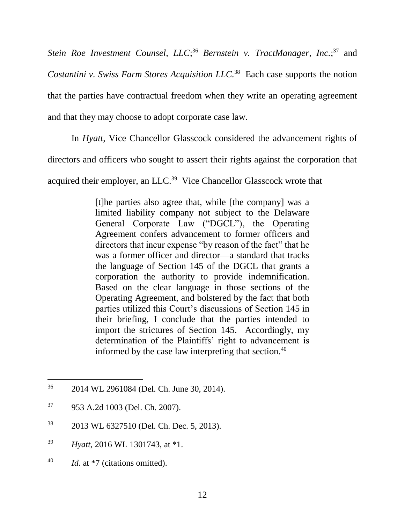Stein Roe Investment Counsel, LLC;<sup>36</sup> Bernstein v. TractManager, Inc.;<sup>37</sup> and *Costantini v. Swiss Farm Stores Acquisition <i>LLC*.<sup>38</sup> Each case supports the notion that the parties have contractual freedom when they write an operating agreement and that they may choose to adopt corporate case law.

In *Hyatt*, Vice Chancellor Glasscock considered the advancement rights of

directors and officers who sought to assert their rights against the corporation that

acquired their employer, an LLC.<sup>39</sup> Vice Chancellor Glasscock wrote that

[t]he parties also agree that, while [the company] was a limited liability company not subject to the Delaware General Corporate Law ("DGCL"), the Operating Agreement confers advancement to former officers and directors that incur expense "by reason of the fact" that he was a former officer and director—a standard that tracks the language of Section 145 of the DGCL that grants a corporation the authority to provide indemnification. Based on the clear language in those sections of the Operating Agreement, and bolstered by the fact that both parties utilized this Court's discussions of Section 145 in their briefing, I conclude that the parties intended to import the strictures of Section 145. Accordingly, my determination of the Plaintiffs' right to advancement is informed by the case law interpreting that section.<sup>40</sup>

- <sup>38</sup> 2013 WL 6327510 (Del. Ch. Dec. 5, 2013).
- <sup>39</sup> *Hyatt*, 2016 WL 1301743, at \*1.
- <sup>40</sup> *Id.* at \*7 (citations omitted).

<sup>36</sup> 2014 WL 2961084 (Del. Ch. June 30, 2014).

<sup>37</sup> 953 A.2d 1003 (Del. Ch. 2007).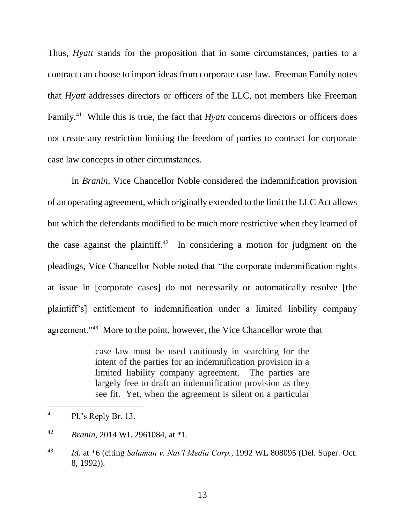Thus, *Hyatt* stands for the proposition that in some circumstances, parties to a contract can choose to import ideas from corporate case law. Freeman Family notes that *Hyatt* addresses directors or officers of the LLC, not members like Freeman Family.<sup>41</sup> While this is true, the fact that *Hyatt* concerns directors or officers does not create any restriction limiting the freedom of parties to contract for corporate case law concepts in other circumstances.

In *Branin*, Vice Chancellor Noble considered the indemnification provision of an operating agreement, which originally extended to the limit the LLC Act allows but which the defendants modified to be much more restrictive when they learned of the case against the plaintiff.<sup>42</sup> In considering a motion for judgment on the pleadings, Vice Chancellor Noble noted that "the corporate indemnification rights at issue in [corporate cases] do not necessarily or automatically resolve [the plaintiff's] entitlement to indemnification under a limited liability company agreement."<sup>43</sup> More to the point, however, the Vice Chancellor wrote that

> case law must be used cautiously in searching for the intent of the parties for an indemnification provision in a limited liability company agreement. The parties are largely free to draft an indemnification provision as they see fit. Yet, when the agreement is silent on a particular

 $^{41}$  Pl.'s Reply Br. 13.

<sup>42</sup> *Branin*, 2014 WL 2961084, at \*1.

<sup>43</sup> *Id.* at \*6 (citing *Salaman v. Nat'l Media Corp.*, 1992 WL 808095 (Del. Super. Oct. 8, 1992)).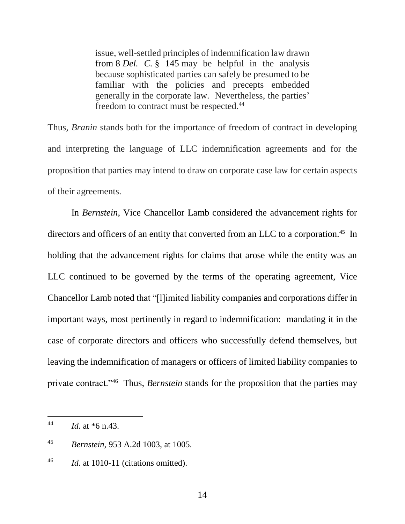issue, well-settled principles of indemnification law drawn from 8 *Del. C.* § 145 may be helpful in the analysis because sophisticated parties can safely be presumed to be familiar with the policies and precepts embedded generally in the corporate law. Nevertheless, the parties' freedom to contract must be respected.<sup>44</sup>

Thus, *Branin* stands both for the importance of freedom of contract in developing and interpreting the language of LLC indemnification agreements and for the proposition that parties may intend to draw on corporate case law for certain aspects of their agreements.

In *Bernstein*, Vice Chancellor Lamb considered the advancement rights for directors and officers of an entity that converted from an LLC to a corporation.<sup>45</sup> In holding that the advancement rights for claims that arose while the entity was an LLC continued to be governed by the terms of the operating agreement, Vice Chancellor Lamb noted that "[l]imited liability companies and corporations differ in important ways, most pertinently in regard to indemnification: mandating it in the case of corporate directors and officers who successfully defend themselves, but leaving the indemnification of managers or officers of limited liability companies to private contract.<sup>146</sup> Thus, *Bernstein* stands for the proposition that the parties may

<sup>44</sup> *Id.* at \*6 n.43.

<sup>45</sup> *Bernstein*, 953 A.2d 1003, at 1005.

<sup>46</sup> *Id.* at 1010-11 (citations omitted).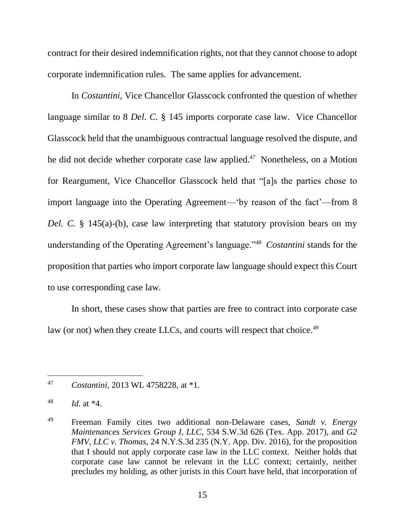contract for their desired indemnification rights, not that they cannot choose to adopt corporate indemnification rules. The same applies for advancement.

In *Costantini*, Vice Chancellor Glasscock confronted the question of whether language similar to 8 *Del. C.* § 145 imports corporate case law. Vice Chancellor Glasscock held that the unambiguous contractual language resolved the dispute, and he did not decide whether corporate case law applied.<sup>47</sup> Nonetheless, on a Motion for Reargument, Vice Chancellor Glasscock held that "[a]s the parties chose to import language into the Operating Agreement—'by reason of the fact'—from 8 *Del. C.* § 145(a)-(b), case law interpreting that statutory provision bears on my understanding of the Operating Agreement's language."<sup>48</sup> *Costantini* stands for the proposition that parties who import corporate law language should expect this Court to use corresponding case law.

In short, these cases show that parties are free to contract into corporate case law (or not) when they create LLCs, and courts will respect that choice.<sup>49</sup>

<sup>47</sup> *Costantini*, 2013 WL 4758228, at \*1.

 $^{48}$  *Id.* at  $*4$ .

<sup>49</sup> Freeman Family cites two additional non-Delaware cases, *Sandt v. Energy Maintenances Services Group I, LLC*, 534 S.W.3d 626 (Tex. App. 2017), and *G2 FMV, LLC v. Thomas*, 24 N.Y.S.3d 235 (N.Y. App. Div. 2016), for the proposition that I should not apply corporate case law in the LLC context. Neither holds that corporate case law cannot be relevant in the LLC context; certainly, neither precludes my holding, as other jurists in this Court have held, that incorporation of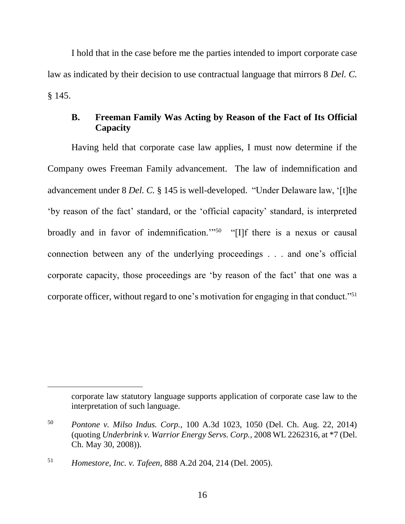I hold that in the case before me the parties intended to import corporate case law as indicated by their decision to use contractual language that mirrors 8 *Del. C.* § 145.

# **B. Freeman Family Was Acting by Reason of the Fact of Its Official Capacity**

Having held that corporate case law applies, I must now determine if the Company owes Freeman Family advancement. The law of indemnification and advancement under 8 *Del. C.* § 145 is well-developed. "Under Delaware law, '[t]he 'by reason of the fact' standard, or the 'official capacity' standard, is interpreted broadly and in favor of indemnification."<sup>50</sup> "[I]f there is a nexus or causal connection between any of the underlying proceedings . . . and one's official corporate capacity, those proceedings are 'by reason of the fact' that one was a corporate officer, without regard to one's motivation for engaging in that conduct."<sup>51</sup>

corporate law statutory language supports application of corporate case law to the interpretation of such language.

<sup>50</sup> *Pontone v. Milso Indus. Corp.*, 100 A.3d 1023, 1050 (Del. Ch. Aug. 22, 2014) (quoting *Underbrink v. Warrior Energy Servs. Corp.*, 2008 WL 2262316, at \*7 (Del. Ch. May 30, 2008)).

<sup>51</sup> *Homestore, Inc. v. Tafeen*, 888 A.2d 204, 214 (Del. 2005).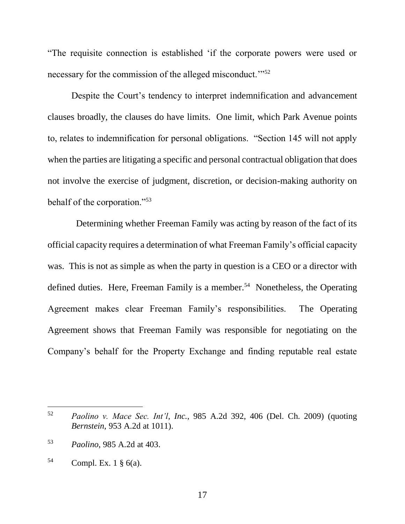"The requisite connection is established 'if the corporate powers were used or necessary for the commission of the alleged misconduct."<sup>52</sup>

Despite the Court's tendency to interpret indemnification and advancement clauses broadly, the clauses do have limits. One limit, which Park Avenue points to, relates to indemnification for personal obligations. "Section 145 will not apply when the parties are litigating a specific and personal contractual obligation that does not involve the exercise of judgment, discretion, or decision-making authority on behalf of the corporation."<sup>53</sup>

 Determining whether Freeman Family was acting by reason of the fact of its official capacity requires a determination of what Freeman Family's official capacity was. This is not as simple as when the party in question is a CEO or a director with defined duties. Here, Freeman Family is a member.<sup>54</sup> Nonetheless, the Operating Agreement makes clear Freeman Family's responsibilities. The Operating Agreement shows that Freeman Family was responsible for negotiating on the Company's behalf for the Property Exchange and finding reputable real estate

<sup>52</sup> *Paolino v. Mace Sec. Int'l, Inc.*, 985 A.2d 392, 406 (Del. Ch. 2009) (quoting *Bernstein*, 953 A.2d at 1011).

<sup>53</sup> *Paolino*, 985 A.2d at 403.

 $54$  Compl. Ex. 1  $\S$  6(a).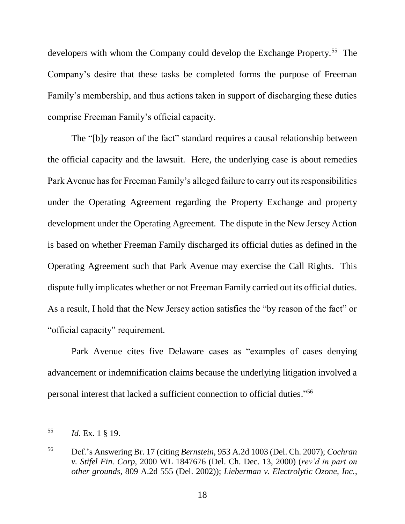developers with whom the Company could develop the Exchange Property.<sup>55</sup> The Company's desire that these tasks be completed forms the purpose of Freeman Family's membership, and thus actions taken in support of discharging these duties comprise Freeman Family's official capacity.

The "[b]y reason of the fact" standard requires a causal relationship between the official capacity and the lawsuit. Here, the underlying case is about remedies Park Avenue has for Freeman Family's alleged failure to carry out its responsibilities under the Operating Agreement regarding the Property Exchange and property development under the Operating Agreement. The dispute in the New Jersey Action is based on whether Freeman Family discharged its official duties as defined in the Operating Agreement such that Park Avenue may exercise the Call Rights. This dispute fully implicates whether or not Freeman Family carried out its official duties. As a result, I hold that the New Jersey action satisfies the "by reason of the fact" or "official capacity" requirement.

Park Avenue cites five Delaware cases as "examples of cases denying advancement or indemnification claims because the underlying litigation involved a personal interest that lacked a sufficient connection to official duties." 56

<sup>55</sup> *Id.* Ex. 1 § 19.

<sup>56</sup> Def.'s Answering Br. 17 (citing *Bernstein*, 953 A.2d 1003 (Del. Ch. 2007); *Cochran v. Stifel Fin. Corp*, 2000 WL 1847676 (Del. Ch. Dec. 13, 2000) (*rev'd in part on other grounds*, 809 A.2d 555 (Del. 2002)); *Lieberman v. Electrolytic Ozone, Inc.*,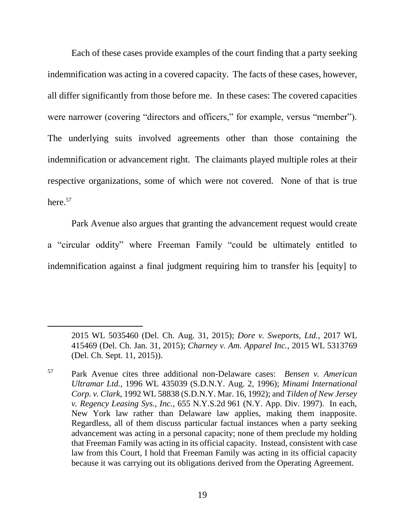Each of these cases provide examples of the court finding that a party seeking indemnification was acting in a covered capacity. The facts of these cases, however, all differ significantly from those before me. In these cases: The covered capacities were narrower (covering "directors and officers," for example, versus "member"). The underlying suits involved agreements other than those containing the indemnification or advancement right. The claimants played multiple roles at their respective organizations, some of which were not covered. None of that is true here.<sup>57</sup>

Park Avenue also argues that granting the advancement request would create a "circular oddity" where Freeman Family "could be ultimately entitled to indemnification against a final judgment requiring him to transfer his [equity] to

<sup>2015</sup> WL 5035460 (Del. Ch. Aug. 31, 2015); *Dore v. Sweports, Ltd.*, 2017 WL 415469 (Del. Ch. Jan. 31, 2015); *Charney v. Am. Apparel Inc.*, 2015 WL 5313769 (Del. Ch. Sept. 11, 2015)).

<sup>57</sup> Park Avenue cites three additional non-Delaware cases: *Bensen v. American Ultramar Ltd.*, 1996 WL 435039 (S.D.N.Y. Aug. 2, 1996); *Minami International Corp. v. Clark*, 1992 WL 58838 (S.D.N.Y. Mar. 16, 1992); and *Tilden of New Jersey v. Regency Leasing Sys., Inc.*, 655 N.Y.S.2d 961 (N.Y. App. Div. 1997). In each, New York law rather than Delaware law applies, making them inapposite. Regardless, all of them discuss particular factual instances when a party seeking advancement was acting in a personal capacity; none of them preclude my holding that Freeman Family was acting in its official capacity. Instead, consistent with case law from this Court, I hold that Freeman Family was acting in its official capacity because it was carrying out its obligations derived from the Operating Agreement.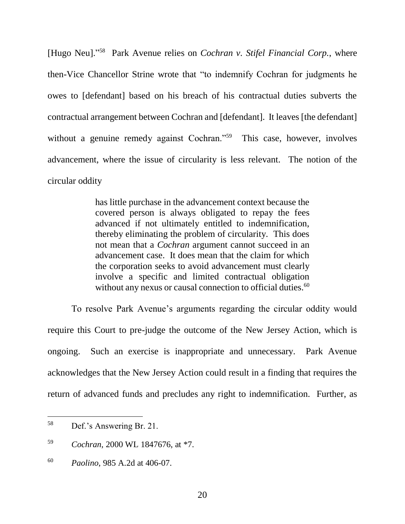[Hugo Neu]." 58 Park Avenue relies on *Cochran v. Stifel Financial Corp.*, where then-Vice Chancellor Strine wrote that "to indemnify Cochran for judgments he owes to [defendant] based on his breach of his contractual duties subverts the contractual arrangement between Cochran and [defendant]. It leaves [the defendant] without a genuine remedy against Cochran."<sup>59</sup> This case, however, involves advancement, where the issue of circularity is less relevant. The notion of the circular oddity

> has little purchase in the advancement context because the covered person is always obligated to repay the fees advanced if not ultimately entitled to indemnification, thereby eliminating the problem of circularity. This does not mean that a *Cochran* argument cannot succeed in an advancement case. It does mean that the claim for which the corporation seeks to avoid advancement must clearly involve a specific and limited contractual obligation without any nexus or causal connection to official duties.<sup>60</sup>

To resolve Park Avenue's arguments regarding the circular oddity would require this Court to pre-judge the outcome of the New Jersey Action, which is ongoing. Such an exercise is inappropriate and unnecessary. Park Avenue acknowledges that the New Jersey Action could result in a finding that requires the return of advanced funds and precludes any right to indemnification. Further, as

<sup>58</sup> Def.'s Answering Br. 21.

<sup>59</sup> *Cochran*, 2000 WL 1847676, at \*7.

<sup>60</sup> *Paolino*, 985 A.2d at 406-07.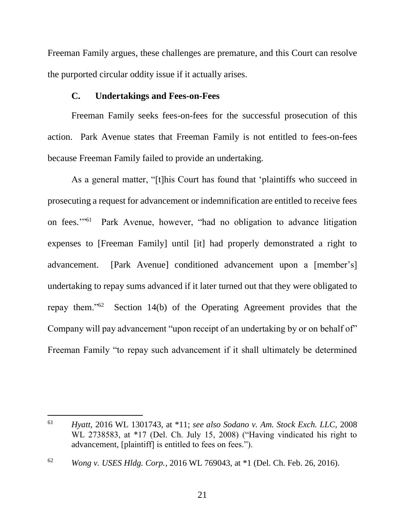Freeman Family argues, these challenges are premature, and this Court can resolve the purported circular oddity issue if it actually arises.

#### **C. Undertakings and Fees-on-Fees**

Freeman Family seeks fees-on-fees for the successful prosecution of this action. Park Avenue states that Freeman Family is not entitled to fees-on-fees because Freeman Family failed to provide an undertaking.

As a general matter, "[t]his Court has found that 'plaintiffs who succeed in prosecuting a request for advancement or indemnification are entitled to receive fees on fees."<sup>51</sup> Park Avenue, however, "had no obligation to advance litigation expenses to [Freeman Family] until [it] had properly demonstrated a right to advancement. [Park Avenue] conditioned advancement upon a [member's] undertaking to repay sums advanced if it later turned out that they were obligated to repay them."<sup>62</sup> Section 14(b) of the Operating Agreement provides that the Company will pay advancement "upon receipt of an undertaking by or on behalf of" Freeman Family "to repay such advancement if it shall ultimately be determined

<sup>61</sup> *Hyatt*, 2016 WL 1301743, at \*11; *see also Sodano v. Am. Stock Exch. LLC*, 2008 WL 2738583, at \*17 (Del. Ch. July 15, 2008) ("Having vindicated his right to advancement, [plaintiff] is entitled to fees on fees.").

<sup>62</sup> *Wong v. USES Hldg. Corp.*, 2016 WL 769043, at \*1 (Del. Ch. Feb. 26, 2016).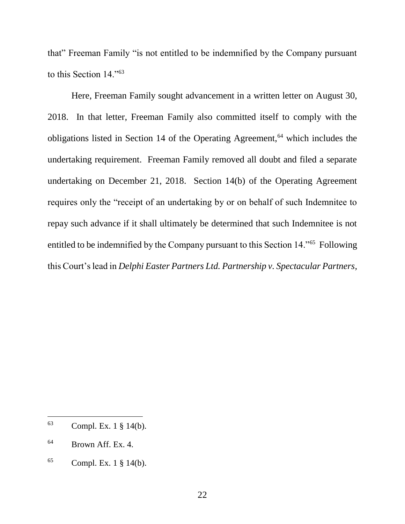that" Freeman Family "is not entitled to be indemnified by the Company pursuant to this Section 14."<sup>63</sup>

Here, Freeman Family sought advancement in a written letter on August 30, 2018. In that letter, Freeman Family also committed itself to comply with the obligations listed in Section 14 of the Operating Agreement,<sup> $64$ </sup> which includes the undertaking requirement. Freeman Family removed all doubt and filed a separate undertaking on December 21, 2018. Section 14(b) of the Operating Agreement requires only the "receipt of an undertaking by or on behalf of such Indemnitee to repay such advance if it shall ultimately be determined that such Indemnitee is not entitled to be indemnified by the Company pursuant to this Section 14."<sup>65</sup> Following this Court's lead in *Delphi Easter Partners Ltd. Partnership v. Spectacular Partners,*

<sup>63</sup> Compl. Ex. 1 § 14(b).

<sup>64</sup> Brown Aff. Ex. 4.

 $65$  Compl. Ex. 1  $\S$  14(b).